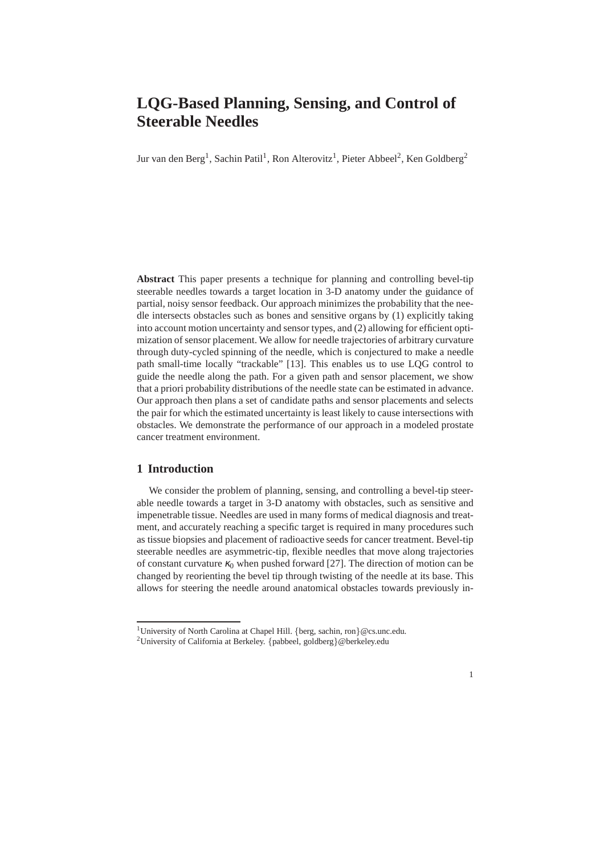Jur van den Berg<sup>1</sup>, Sachin Patil<sup>1</sup>, Ron Alterovitz<sup>1</sup>, Pieter Abbeel<sup>2</sup>, Ken Goldberg<sup>2</sup>

**Abstract** This paper presents a technique for planning and controlling bevel-tip steerable needles towards a target location in 3-D anatomy under the guidance of partial, noisy sensor feedback. Our approach minimizes the probability that the needle intersects obstacles such as bones and sensitive organs by (1) explicitly taking into account motion uncertainty and sensor types, and (2) allowing for efficient optimization of sensor placement. We allow for needle trajectories of arbitrary curvature through duty-cycled spinning of the needle, which is conjectured to make a needle path small-time locally "trackable" [13]. This enables us to use LQG control to guide the needle along the path. For a given path and sensor placement, we show that a priori probability distributions of the needle state can be estimated in advance. Our approach then plans a set of candidate paths and sensor placements and selects the pair for which the estimated uncertainty is least likely to cause intersections with obstacles. We demonstrate the performance of our approach in a modeled prostate cancer treatment environment.

# **1 Introduction**

We consider the problem of planning, sensing, and controlling a bevel-tip steerable needle towards a target in 3-D anatomy with obstacles, such as sensitive and impenetrable tissue. Needles are used in many forms of medical diagnosis and treatment, and accurately reaching a specific target is required in many procedures such as tissue biopsies and placement of radioactive seeds for cancer treatment. Bevel-tip steerable needles are asymmetric-tip, flexible needles that move along trajectories of constant curvature  $\kappa_0$  when pushed forward [27]. The direction of motion can be changed by reorienting the bevel tip through twisting of the needle at its base. This allows for steering the needle around anatomical obstacles towards previously in-

1

<sup>1</sup>University of North Carolina at Chapel Hill. {berg, sachin, ron}@cs.unc.edu. <sup>2</sup>University of California at Berkeley. {pabbeel, goldberg}@berkeley.edu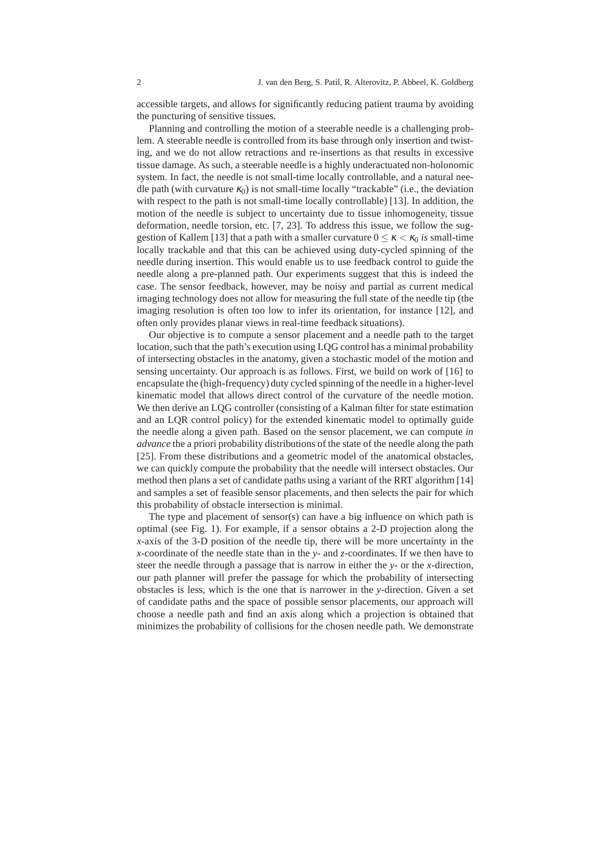accessible targets, and allows for significantly reducing patient trauma by avoiding the puncturing of sensitive tissues.

Planning and controlling the motion of a steerable needle is a challenging problem. A steerable needle is controlled from its base through only insertion and twisting, and we do not allow retractions and re-insertions as that results in excessive tissue damage. As such, a steerable needle is a highly underactuated non-holonomic system. In fact, the needle is not small-time locally controllable, and a natural needle path (with curvature  $\kappa_0$ ) is not small-time locally "trackable" (i.e., the deviation with respect to the path is not small-time locally controllable) [13]. In addition, the motion of the needle is subject to uncertainty due to tissue inhomogeneity, tissue deformation, needle torsion, etc. [7, 23]. To address this issue, we follow the suggestion of Kallem [13] that a path with a smaller curvature  $0 \le \kappa < \kappa_0$  *is* small-time locally trackable and that this can be achieved using duty-cycled spinning of the needle during insertion. This would enable us to use feedback control to guide the needle along a pre-planned path. Our experiments suggest that this is indeed the case. The sensor feedback, however, may be noisy and partial as current medical imaging technology does not allow for measuring the full state of the needle tip (the imaging resolution is often too low to infer its orientation, for instance [12], and often only provides planar views in real-time feedback situations).

Our objective is to compute a sensor placement and a needle path to the target location, such that the path's execution using LQG control has a minimal probability of intersecting obstacles in the anatomy, given a stochastic model of the motion and sensing uncertainty. Our approach is as follows. First, we build on work of [16] to encapsulate the (high-frequency) duty cycled spinning of the needle in a higher-level kinematic model that allows direct control of the curvature of the needle motion. We then derive an LQG controller (consisting of a Kalman filter for state estimation and an LQR control policy) for the extended kinematic model to optimally guide the needle along a given path. Based on the sensor placement, we can compute *in advance* the a priori probability distributions of the state of the needle along the path [25]. From these distributions and a geometric model of the anatomical obstacles, we can quickly compute the probability that the needle will intersect obstacles. Our method then plans a set of candidate paths using a variant of the RRT algorithm [14] and samples a set of feasible sensor placements, and then selects the pair for which this probability of obstacle intersection is minimal.

The type and placement of sensor(s) can have a big influence on which path is optimal (see Fig. 1). For example, if a sensor obtains a 2-D projection along the *x*-axis of the 3-D position of the needle tip, there will be more uncertainty in the *x*-coordinate of the needle state than in the *y*- and *z*-coordinates. If we then have to steer the needle through a passage that is narrow in either the *y*- or the *x*-direction, our path planner will prefer the passage for which the probability of intersecting obstacles is less, which is the one that is narrower in the *y*-direction. Given a set of candidate paths and the space of possible sensor placements, our approach will choose a needle path and find an axis along which a projection is obtained that minimizes the probability of collisions for the chosen needle path. We demonstrate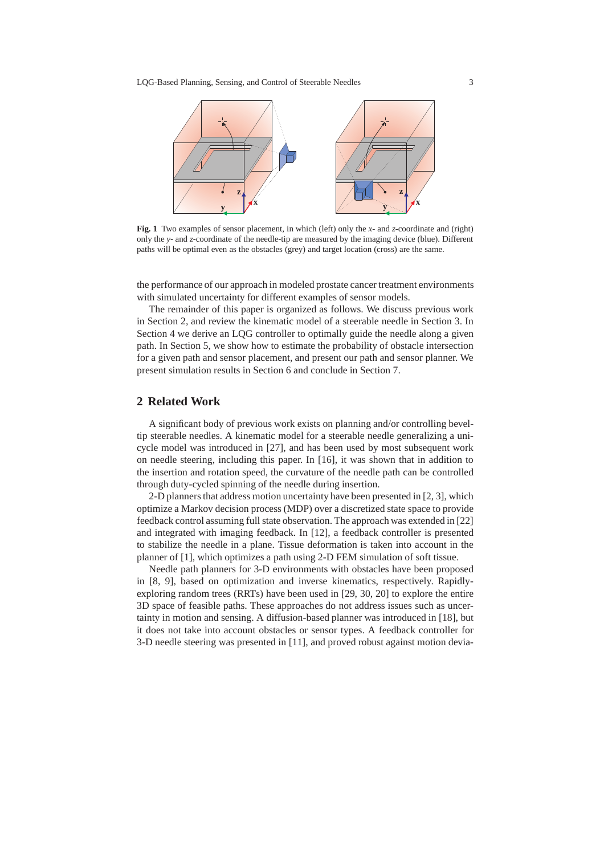

**Fig. 1** Two examples of sensor placement, in which (left) only the *x*- and *z*-coordinate and (right) only the *y*- and *z*-coordinate of the needle-tip are measured by the imaging device (blue). Different paths will be optimal even as the obstacles (grey) and target location (cross) are the same.

the performance of our approach in modeled prostate cancer treatment environments with simulated uncertainty for different examples of sensor models.

The remainder of this paper is organized as follows. We discuss previous work in Section 2, and review the kinematic model of a steerable needle in Section 3. In Section 4 we derive an LQG controller to optimally guide the needle along a given path. In Section 5, we show how to estimate the probability of obstacle intersection for a given path and sensor placement, and present our path and sensor planner. We present simulation results in Section 6 and conclude in Section 7.

# **2 Related Work**

A significant body of previous work exists on planning and/or controlling beveltip steerable needles. A kinematic model for a steerable needle generalizing a unicycle model was introduced in [27], and has been used by most subsequent work on needle steering, including this paper. In [16], it was shown that in addition to the insertion and rotation speed, the curvature of the needle path can be controlled through duty-cycled spinning of the needle during insertion.

2-D planners that address motion uncertainty have been presented in [2, 3], which optimize a Markov decision process (MDP) over a discretized state space to provide feedback control assuming full state observation. The approach was extended in [22] and integrated with imaging feedback. In [12], a feedback controller is presented to stabilize the needle in a plane. Tissue deformation is taken into account in the planner of [1], which optimizes a path using 2-D FEM simulation of soft tissue.

Needle path planners for 3-D environments with obstacles have been proposed in [8, 9], based on optimization and inverse kinematics, respectively. Rapidlyexploring random trees (RRTs) have been used in [29, 30, 20] to explore the entire 3D space of feasible paths. These approaches do not address issues such as uncertainty in motion and sensing. A diffusion-based planner was introduced in [18], but it does not take into account obstacles or sensor types. A feedback controller for 3-D needle steering was presented in [11], and proved robust against motion devia-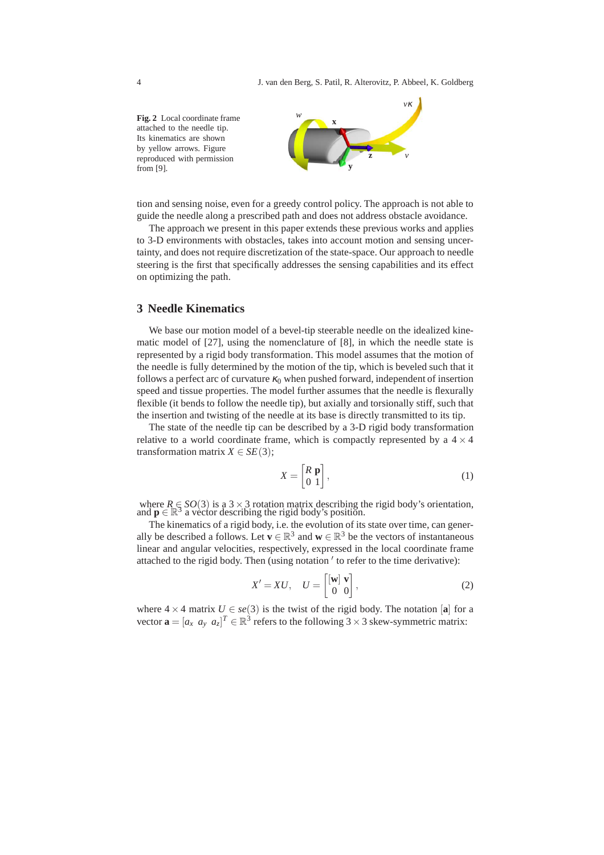*v*<sup>κ</sup>





**x**

tion and sensing noise, even for a greedy control policy. The approach is not able to guide the needle along a prescribed path and does not address obstacle avoidance.

*w*

The approach we present in this paper extends these previous works and applies to 3-D environments with obstacles, takes into account motion and sensing uncertainty, and does not require discretization of the state-space. Our approach to needle steering is the first that specifically addresses the sensing capabilities and its effect on optimizing the path.

# **3 Needle Kinematics**

We base our motion model of a bevel-tip steerable needle on the idealized kinematic model of [27], using the nomenclature of [8], in which the needle state is represented by a rigid body transformation. This model assumes that the motion of the needle is fully determined by the motion of the tip, which is beveled such that it follows a perfect arc of curvature  $\kappa_0$  when pushed forward, independent of insertion speed and tissue properties. The model further assumes that the needle is flexurally flexible (it bends to follow the needle tip), but axially and torsionally stiff, such that the insertion and twisting of the needle at its base is directly transmitted to its tip.

The state of the needle tip can be described by a 3-D rigid body transformation relative to a world coordinate frame, which is compactly represented by a  $4 \times 4$ transformation matrix  $X \in SE(3)$ ;

$$
X = \begin{bmatrix} R & \mathbf{p} \\ 0 & 1 \end{bmatrix},\tag{1}
$$

where  $R \in SO(3)$  is a 3 × 3 rotation matrix describing the rigid body's orientation, and **p** ∈  $\mathbb{R}^3$  a vector describing the rigid body's position.

The kinematics of a rigid body, i.e. the evolution of its state over time, can generally be described a follows. Let  $\mathbf{v} \in \mathbb{R}^3$  and  $\mathbf{w} \in \mathbb{R}^3$  be the vectors of instantaneous linear and angular velocities, respectively, expressed in the local coordinate frame attached to the rigid body. Then (using notation ′ to refer to the time derivative):

$$
X' = XU, \quad U = \begin{bmatrix} [\mathbf{w}] \ \mathbf{v} \\ 0 \quad 0 \end{bmatrix}, \tag{2}
$$

where  $4 \times 4$  matrix  $U \in se(3)$  is the twist of the rigid body. The notation [a] for a vector  $\mathbf{a} = [a_x \ a_y \ a_z]^T \in \mathbb{R}^3$  refers to the following  $3 \times 3$  skew-symmetric matrix: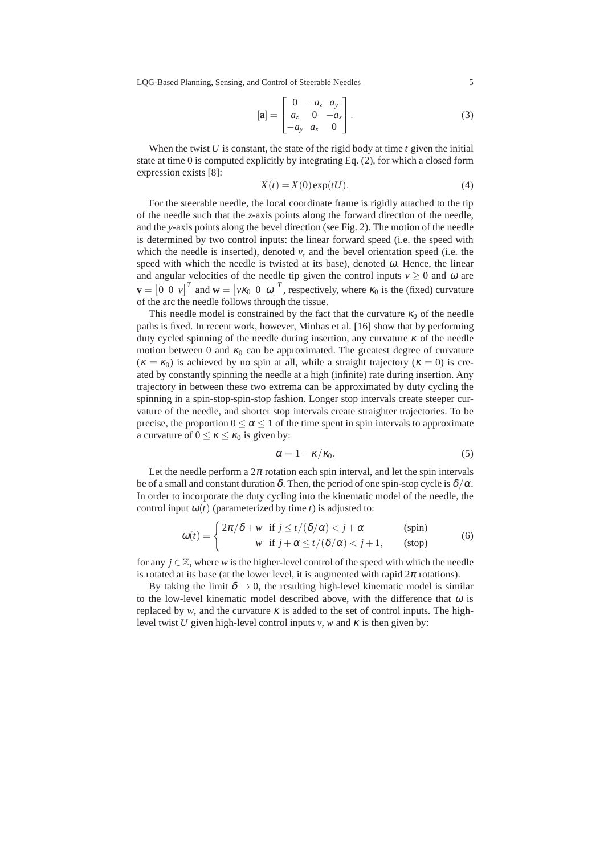$$
\begin{bmatrix} \mathbf{a} \end{bmatrix} = \begin{bmatrix} 0 & -a_z & a_y \\ a_z & 0 & -a_x \\ -a_y & a_x & 0 \end{bmatrix} . \tag{3}
$$

When the twist *U* is constant, the state of the rigid body at time *t* given the initial state at time 0 is computed explicitly by integrating Eq. (2), for which a closed form expression exists [8]:

$$
X(t) = X(0) \exp(tU). \tag{4}
$$

For the steerable needle, the local coordinate frame is rigidly attached to the tip of the needle such that the *z*-axis points along the forward direction of the needle, and the *y*-axis points along the bevel direction (see Fig. 2). The motion of the needle is determined by two control inputs: the linear forward speed (i.e. the speed with which the needle is inserted), denoted  $v$ , and the bevel orientation speed (i.e. the speed with which the needle is twisted at its base), denoted  $\omega$ . Hence, the linear and angular velocities of the needle tip given the control inputs  $v \ge 0$  and  $\omega$  are  $\mathbf{v} = \begin{bmatrix} 0 & 0 & v \end{bmatrix}^T$  and  $\mathbf{w} = \begin{bmatrix} v\kappa_0 & 0 & \omega \end{bmatrix}^T$ , respectively, where  $\kappa_0$  is the (fixed) curvature of the arc the needle follows through the tissue.

This needle model is constrained by the fact that the curvature  $\kappa_0$  of the needle paths is fixed. In recent work, however, Minhas et al. [16] show that by performing duty cycled spinning of the needle during insertion, any curvature  $\kappa$  of the needle motion between 0 and  $\kappa_0$  can be approximated. The greatest degree of curvature  $(\kappa = \kappa_0)$  is achieved by no spin at all, while a straight trajectory  $(\kappa = 0)$  is created by constantly spinning the needle at a high (infinite) rate during insertion. Any trajectory in between these two extrema can be approximated by duty cycling the spinning in a spin-stop-spin-stop fashion. Longer stop intervals create steeper curvature of the needle, and shorter stop intervals create straighter trajectories. To be precise, the proportion  $0 \le \alpha \le 1$  of the time spent in spin intervals to approximate a curvature of  $0 \leq \kappa \leq \kappa_0$  is given by:

$$
\alpha = 1 - \kappa / \kappa_0. \tag{5}
$$

Let the needle perform a  $2\pi$  rotation each spin interval, and let the spin intervals be of a small and constant duration  $\delta$ . Then, the period of one spin-stop cycle is  $\delta/\alpha$ . In order to incorporate the duty cycling into the kinematic model of the needle, the control input  $\omega(t)$  (parameterized by time *t*) is adjusted to:

$$
\omega(t) = \begin{cases} 2\pi/\delta + w & \text{if } j \le t/(\delta/\alpha) < j + \alpha & \text{(spin)}\\ w & \text{if } j + \alpha \le t/(\delta/\alpha) < j + 1, & \text{(stop)} \end{cases}
$$
(6)

for any  $j \in \mathbb{Z}$ , where *w* is the higher-level control of the speed with which the needle is rotated at its base (at the lower level, it is augmented with rapid  $2\pi$  rotations).

By taking the limit  $\delta \rightarrow 0$ , the resulting high-level kinematic model is similar to the low-level kinematic model described above, with the difference that  $\omega$  is replaced by  $w$ , and the curvature  $\kappa$  is added to the set of control inputs. The highlevel twist *U* given high-level control inputs *v*, *w* and <sup>κ</sup> is then given by: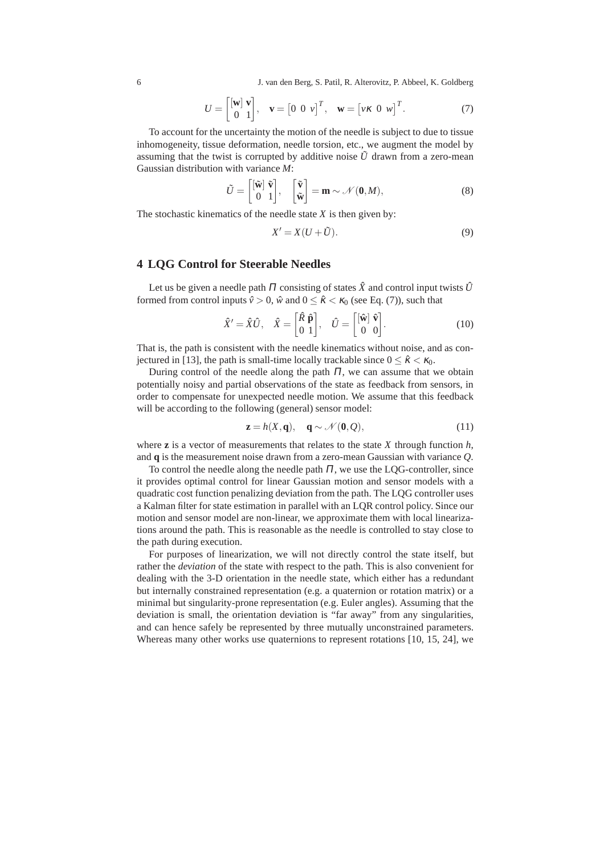6 J. van den Berg, S. Patil, R. Alterovitz, P. Abbeel, K. Goldberg

$$
U = \begin{bmatrix} [\mathbf{w}] \ \mathbf{v} \\ 0 \end{bmatrix}, \quad \mathbf{v} = \begin{bmatrix} 0 & 0 & v \end{bmatrix}^T, \quad \mathbf{w} = \begin{bmatrix} v \kappa & 0 & w \end{bmatrix}^T.
$$
 (7)

To account for the uncertainty the motion of the needle is subject to due to tissue inhomogeneity, tissue deformation, needle torsion, etc., we augment the model by assuming that the twist is corrupted by additive noise  $\tilde{U}$  drawn from a zero-mean Gaussian distribution with variance *M*:

$$
\tilde{U} = \begin{bmatrix} [\tilde{\mathbf{w}}] & \tilde{\mathbf{v}} \\ 0 & 1 \end{bmatrix}, \quad \begin{bmatrix} \tilde{\mathbf{v}} \\ \tilde{\mathbf{w}} \end{bmatrix} = \mathbf{m} \sim \mathcal{N}(\mathbf{0}, M), \tag{8}
$$

The stochastic kinematics of the needle state *X* is then given by:

$$
X' = X(U + \tilde{U}).
$$
\n(9)

# **4 LQG Control for Steerable Needles**

Let us be given a needle path  $\Pi$  consisting of states  $\hat{X}$  and control input twists  $\hat{U}$ formed from control inputs  $\hat{v} > 0$ ,  $\hat{w}$  and  $0 \leq \hat{\kappa} < \kappa_0$  (see Eq. (7)), such that

$$
\hat{X}' = \hat{X}\hat{U}, \quad \hat{X} = \begin{bmatrix} \hat{R} & \hat{P} \\ 0 & 1 \end{bmatrix}, \quad \hat{U} = \begin{bmatrix} [\hat{\mathbf{w}}] & \hat{\mathbf{v}} \\ 0 & 0 \end{bmatrix}.
$$
 (10)

That is, the path is consistent with the needle kinematics without noise, and as conjectured in [13], the path is small-time locally trackable since  $0 \leq \hat{\kappa} \leq \kappa_0$ .

During control of the needle along the path  $\Pi$ , we can assume that we obtain potentially noisy and partial observations of the state as feedback from sensors, in order to compensate for unexpected needle motion. We assume that this feedback will be according to the following (general) sensor model:

$$
\mathbf{z} = h(X, \mathbf{q}), \quad \mathbf{q} \sim \mathcal{N}(\mathbf{0}, \mathcal{Q}), \tag{11}
$$

where **z** is a vector of measurements that relates to the state *X* through function *h*, and **q** is the measurement noise drawn from a zero-mean Gaussian with variance *Q*.

To control the needle along the needle path  $\Pi$ , we use the LQG-controller, since it provides optimal control for linear Gaussian motion and sensor models with a quadratic cost function penalizing deviation from the path. The LQG controller uses a Kalman filter for state estimation in parallel with an LQR control policy. Since our motion and sensor model are non-linear, we approximate them with local linearizations around the path. This is reasonable as the needle is controlled to stay close to the path during execution.

For purposes of linearization, we will not directly control the state itself, but rather the *deviation* of the state with respect to the path. This is also convenient for dealing with the 3-D orientation in the needle state, which either has a redundant but internally constrained representation (e.g. a quaternion or rotation matrix) or a minimal but singularity-prone representation (e.g. Euler angles). Assuming that the deviation is small, the orientation deviation is "far away" from any singularities, and can hence safely be represented by three mutually unconstrained parameters. Whereas many other works use quaternions to represent rotations [10, 15, 24], we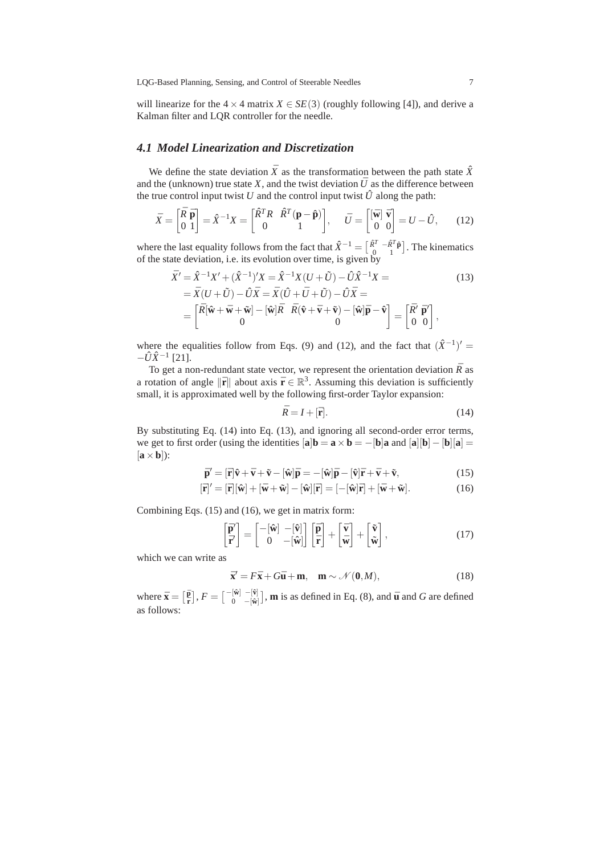will linearize for the  $4 \times 4$  matrix  $X \in SE(3)$  (roughly following [4]), and derive a Kalman filter and LQR controller for the needle.

### *4.1 Model Linearization and Discretization*

We define the state deviation  $\bar{X}$  as the transformation between the path state  $\hat{X}$ and the (unknown) true state *X*, and the twist deviation  $\bar{U}$  as the difference between the true control input twist *U* and the control input twist  $\hat{U}$  along the path:

$$
\bar{X} = \begin{bmatrix} \bar{R} & \bar{\mathbf{p}} \\ 0 & 1 \end{bmatrix} = \hat{X}^{-1}X = \begin{bmatrix} \hat{R}^T R & \hat{R}^T (\mathbf{p} - \hat{\mathbf{p}}) \\ 0 & 1 \end{bmatrix}, \quad \bar{U} = \begin{bmatrix} [\bar{\mathbf{w}}] & \bar{\mathbf{v}} \\ 0 & 0 \end{bmatrix} = U - \hat{U}, \quad (12)
$$

where the last equality follows from the fact that  $\hat{X}^{-1} = \begin{bmatrix} \hat{R}^T & -\hat{R}^T \hat{p} \\ 0 & 1 \end{bmatrix}$ . The kinematics of the state deviation, i.e. its evolution over time, is given by

$$
\bar{X}' = \hat{X}^{-1}X' + (\hat{X}^{-1})'X = \hat{X}^{-1}X(U + \tilde{U}) - \hat{U}\hat{X}^{-1}X =
$$
\n
$$
= \bar{X}(U + \tilde{U}) - \hat{U}\bar{X} = \bar{X}(\hat{U} + \tilde{U} + \tilde{U}) - \hat{U}\bar{X} =
$$
\n
$$
= \begin{bmatrix} \bar{R}[\hat{\mathbf{w}} + \bar{\mathbf{w}} + \tilde{\mathbf{w}}] - [\hat{\mathbf{w}}]\bar{R} & \bar{R}(\hat{\mathbf{v}} + \bar{\mathbf{v}} + \tilde{\mathbf{v}}) - [\hat{\mathbf{w}}]\bar{\mathbf{p}} - \hat{\mathbf{v}} \\ 0 & 0 \end{bmatrix} = \begin{bmatrix} \bar{R}' & \bar{\mathbf{p}}' \\ 0 & 0 \end{bmatrix},
$$
\n(13)

where the equalities follow from Eqs. (9) and (12), and the fact that  $(\hat{X}^{-1})' =$  $-\hat{U}\hat{X}^{-1}$  [21].

To get a non-redundant state vector, we represent the orientation deviation  $\bar{R}$  as a rotation of angle  $\|\mathbf{\bar{r}}\|$  about axis  $\mathbf{\bar{r}} \in \mathbb{R}^3$ . Assuming this deviation is sufficiently small, it is approximated well by the following first-order Taylor expansion:

$$
\bar{R} = I + [\bar{\mathbf{r}}]. \tag{14}
$$

By substituting Eq. (14) into Eq. (13), and ignoring all second-order error terms, we get to first order (using the identities  $[\mathbf{a}]\mathbf{b} = \mathbf{a} \times \mathbf{b} = -[\mathbf{b}]\mathbf{a}$  and  $[\mathbf{a}][\mathbf{b}]-[\mathbf{b}][\mathbf{a}] =$  $[a \times b]$ :

$$
\bar{\mathbf{p}}' = [\bar{\mathbf{r}}]\hat{\mathbf{v}} + \bar{\mathbf{v}} + \tilde{\mathbf{v}} - [\hat{\mathbf{w}}]\bar{\mathbf{p}} = -[\hat{\mathbf{w}}]\bar{\mathbf{p}} - [\hat{\mathbf{v}}]\bar{\mathbf{r}} + \bar{\mathbf{v}} + \tilde{\mathbf{v}},
$$
\n(15)

$$
[\bar{\mathbf{r}}]' = [\bar{\mathbf{r}}][\hat{\mathbf{w}}] + [\bar{\mathbf{w}} + \tilde{\mathbf{w}}] - [\hat{\mathbf{w}}][\bar{\mathbf{r}}] = [-[\hat{\mathbf{w}}]\bar{\mathbf{r}}] + [\bar{\mathbf{w}} + \tilde{\mathbf{w}}].
$$
 (16)

Combining Eqs. (15) and (16), we get in matrix form:

$$
\begin{bmatrix} \mathbf{\bar{p}}' \\ \mathbf{\bar{r}}' \end{bmatrix} = \begin{bmatrix} -\left[ \mathbf{\hat{w}} \right] & -\left[ \mathbf{\hat{v}} \right] \\ 0 & -\left[ \mathbf{\hat{w}} \right] \end{bmatrix} \begin{bmatrix} \mathbf{\bar{p}} \\ \mathbf{\bar{r}} \end{bmatrix} + \begin{bmatrix} \mathbf{\bar{v}} \\ \mathbf{\bar{w}} \end{bmatrix} + \begin{bmatrix} \mathbf{\tilde{v}} \\ \mathbf{\tilde{w}} \end{bmatrix}, \tag{17}
$$

which we can write as

$$
\bar{\mathbf{x}}' = F\bar{\mathbf{x}} + G\bar{\mathbf{u}} + \mathbf{m}, \quad \mathbf{m} \sim \mathcal{N}(\mathbf{0}, M), \tag{18}
$$

where  $\bar{\mathbf{x}} = \big[\frac{\bar{\mathbf{p}}}{\bar{\mathbf{r}}}\big], F = \big[\begin{smallmatrix} -[\hat{\mathbf{w}}] & -[\hat{\mathbf{v}}] \ 0 & -[\hat{\mathbf{w}}] \end{smallmatrix}$  $\begin{bmatrix} \mathbf{w}_1 & -\mathbf{v}_1 \\ 0 & -\mathbf{w}_1 \end{bmatrix}$ , **m** is as defined in Eq. (8), and **u** and *G* are defined as follows: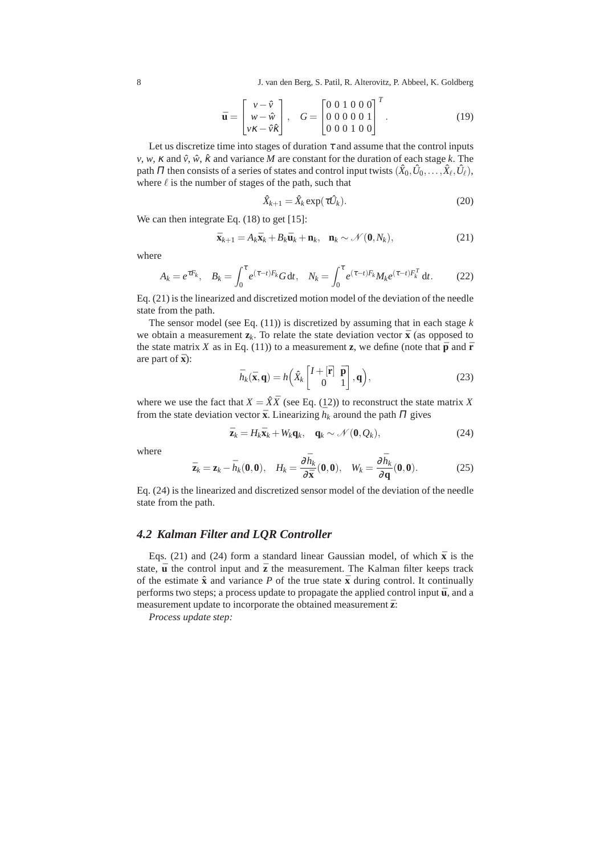8 J. van den Berg, S. Patil, R. Alterovitz, P. Abbeel, K. Goldberg

$$
\mathbf{\bar{u}} = \begin{bmatrix} v - \hat{v} \\ w - \hat{w} \\ v\kappa - \hat{v}\hat{\kappa} \end{bmatrix}, \quad G = \begin{bmatrix} 0 & 0 & 1 & 0 & 0 & 0 \\ 0 & 0 & 0 & 0 & 0 & 1 \\ 0 & 0 & 0 & 1 & 0 & 0 \end{bmatrix}^T.
$$
 (19)

Let us discretize time into stages of duration  $\tau$  and assume that the control inputs *v*, *w*,  $\kappa$  and  $\hat{v}$ ,  $\hat{w}$ ,  $\hat{\kappa}$  and variance *M* are constant for the duration of each stage *k*. The path  $\Pi$  then consists of a series of states and control input twists  $(\hat{X}_0,\hat{U}_0,\ldots,\hat{X}_\ell,\hat{U}_\ell),$ where  $\ell$  is the number of stages of the path, such that

$$
\hat{X}_{k+1} = \hat{X}_k \exp(\tau \hat{U}_k).
$$
\n(20)

We can then integrate Eq.  $(18)$  to get [15]:

$$
\bar{\mathbf{x}}_{k+1} = A_k \bar{\mathbf{x}}_k + B_k \bar{\mathbf{u}}_k + \mathbf{n}_k, \quad \mathbf{n}_k \sim \mathcal{N}(\mathbf{0}, N_k),
$$
\n(21)

where

$$
A_k = e^{\tau F_k}, \quad B_k = \int_0^{\tau} e^{(\tau - t)F_k} G \, \mathrm{d}t, \quad N_k = \int_0^{\tau} e^{(\tau - t)F_k} M_k e^{(\tau - t)F_k^T} \, \mathrm{d}t. \tag{22}
$$

Eq. (21) is the linearized and discretized motion model of the deviation of the needle state from the path.

The sensor model (see Eq. (11)) is discretized by assuming that in each stage *k* we obtain a measurement  $z_k$ . To relate the state deviation vector  $\bar{x}$  (as opposed to the state matrix *X* as in Eq. (11)) to a measurement **z**, we define (note that  $\bar{p}$  and  $\bar{r}$ are part of  $\bar{x}$ ):

$$
\bar{h}_{k}(\bar{\mathbf{x}}, \mathbf{q}) = h\left(\hat{X}_{k} \begin{bmatrix} I + [\bar{\mathbf{r}}] & \bar{\mathbf{p}} \\ 0 & 1 \end{bmatrix}, \mathbf{q}\right),\tag{23}
$$

where we use the fact that  $X = \hat{X}\overline{X}$  (see Eq. (12)) to reconstruct the state matrix *X* from the state deviation vector  $\bar{\mathbf{x}}$ . Linearizing  $\bar{h}_k$  around the path  $\Pi$  gives

$$
\bar{\mathbf{z}}_k = H_k \bar{\mathbf{x}}_k + W_k \mathbf{q}_k, \quad \mathbf{q}_k \sim \mathcal{N}(\mathbf{0}, Q_k), \tag{24}
$$

where

$$
\bar{\mathbf{z}}_k = \mathbf{z}_k - \bar{h}_k(\mathbf{0}, \mathbf{0}), \quad H_k = \frac{\partial \bar{h}_k}{\partial \bar{\mathbf{x}}}(\mathbf{0}, \mathbf{0}), \quad W_k = \frac{\partial \bar{h}_k}{\partial \mathbf{q}}(\mathbf{0}, \mathbf{0}).
$$
 (25)

Eq. (24) is the linearized and discretized sensor model of the deviation of the needle state from the path.

# *4.2 Kalman Filter and LQR Controller*

Eqs. (21) and (24) form a standard linear Gaussian model, of which  $\bar{x}$  is the state,  $\bar{u}$  the control input and  $\bar{z}$  the measurement. The Kalman filter keeps track of the estimate  $\hat{\mathbf{x}}$  and variance *P* of the true state  $\bar{\mathbf{x}}$  during control. It continually performs two steps; a process update to propagate the applied control input  $\bar{u}$ , and a measurement update to incorporate the obtained measurement  $\bar{z}$ :

*Process update step:*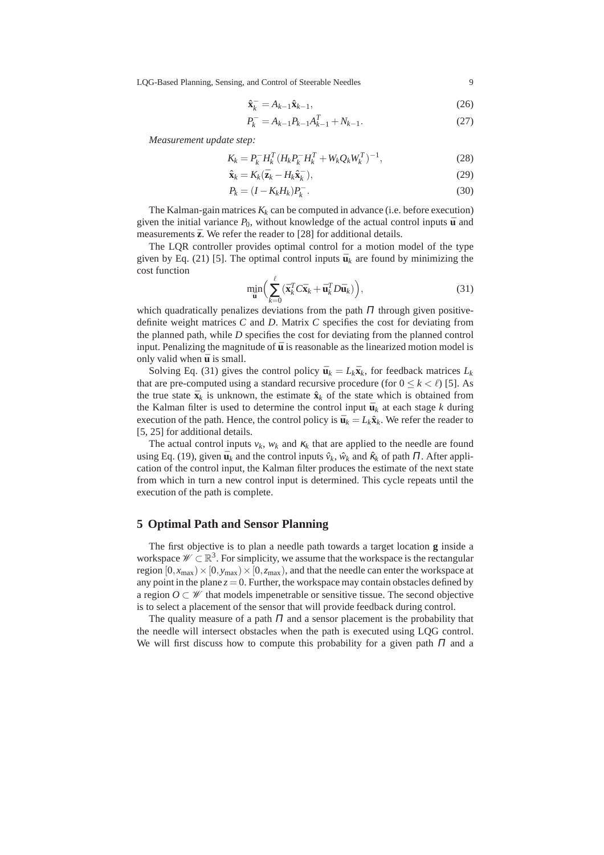$$
\hat{\mathbf{x}}_k^- = A_{k-1}\hat{\mathbf{x}}_{k-1},\tag{26}
$$

$$
P_k^- = A_{k-1} P_{k-1} A_{k-1}^T + N_{k-1}.
$$
\n(27)

*Measurement update step:*

$$
K_k = P_k^- H_k^T (H_k P_k^- H_k^T + W_k Q_k W_k^T)^{-1}, \qquad (28)
$$

$$
\hat{\mathbf{x}}_k = K_k (\bar{\mathbf{z}}_k - H_k \hat{\mathbf{x}}_k^{-}),\tag{29}
$$

$$
P_k = (I - K_k H_k) P_k^-.
$$
\n<sup>(30)</sup>

The Kalman-gain matrices  $K_k$  can be computed in advance (i.e. before execution) given the initial variance  $P_0$ , without knowledge of the actual control inputs  $\bar{u}$  and measurements  $\bar{z}$ . We refer the reader to [28] for additional details.

The LQR controller provides optimal control for a motion model of the type given by Eq. (21) [5]. The optimal control inputs  $\bar{u}_k$  are found by minimizing the cost function

$$
\min_{\bar{\mathbf{u}}} \left( \sum_{k=0}^{\ell} (\bar{\mathbf{x}}_k^T C \bar{\mathbf{x}}_k + \bar{\mathbf{u}}_k^T D \bar{\mathbf{u}}_k) \right),\tag{31}
$$

which quadratically penalizes deviations from the path  $\Pi$  through given positivedefinite weight matrices *C* and *D*. Matrix *C* specifies the cost for deviating from the planned path, while *D* specifies the cost for deviating from the planned control input. Penalizing the magnitude of  $\bar{u}$  is reasonable as the linearized motion model is only valid when  $\bar{u}$  is small.

Solving Eq. (31) gives the control policy  $\bar{\mathbf{u}}_k = L_k \bar{\mathbf{x}}_k$ , for feedback matrices  $L_k$ that are pre-computed using a standard recursive procedure (for  $0 \le k \le \ell$ ) [5]. As the true state  $\bar{\mathbf{x}}_k$  is unknown, the estimate  $\hat{\mathbf{x}}_k$  of the state which is obtained from the Kalman filter is used to determine the control input  $\bar{u}_k$  at each stage *k* during execution of the path. Hence, the control policy is  $\bar{\mathbf{u}}_k = L_k \hat{\mathbf{x}}_k$ . We refer the reader to [5, 25] for additional details.

The actual control inputs  $v_k$ ,  $w_k$  and  $\kappa_k$  that are applied to the needle are found using Eq. (19), given  $\bar{\mathbf{u}}_k$  and the control inputs  $\hat{v}_k$ ,  $\hat{w}_k$  and  $\hat{\kappa}_k$  of path  $\Pi$ . After application of the control input, the Kalman filter produces the estimate of the next state from which in turn a new control input is determined. This cycle repeats until the execution of the path is complete.

# **5 Optimal Path and Sensor Planning**

The first objective is to plan a needle path towards a target location **g** inside a workspace  $\mathscr{W} \subset \mathbb{R}^3$ . For simplicity, we assume that the workspace is the rectangular region  $[0, x_{max}) \times [0, y_{max}) \times [0, z_{max})$ , and that the needle can enter the workspace at any point in the plane  $z = 0$ . Further, the workspace may contain obstacles defined by a region  $O \subset \mathcal{W}$  that models impenetrable or sensitive tissue. The second objective is to select a placement of the sensor that will provide feedback during control.

The quality measure of a path  $\Pi$  and a sensor placement is the probability that the needle will intersect obstacles when the path is executed using LQG control. We will first discuss how to compute this probability for a given path  $\Pi$  and a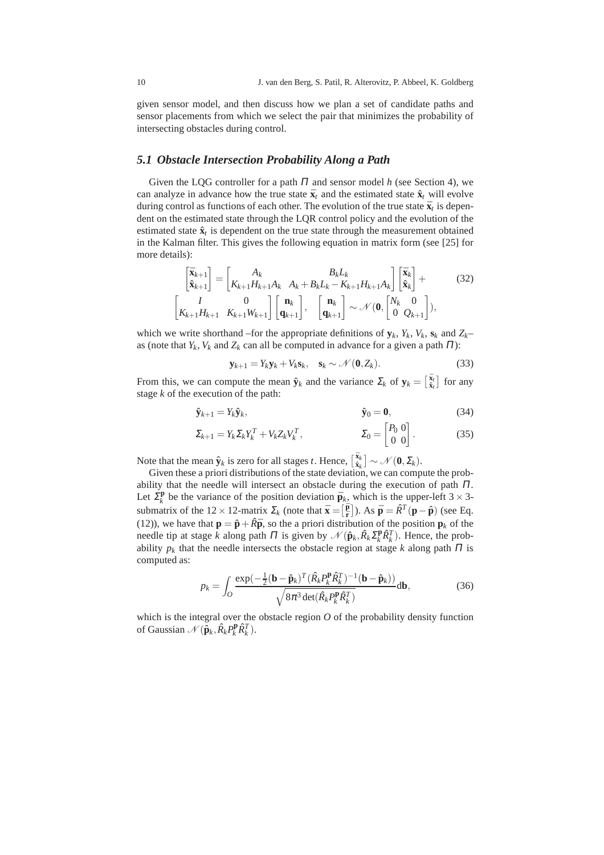given sensor model, and then discuss how we plan a set of candidate paths and sensor placements from which we select the pair that minimizes the probability of intersecting obstacles during control.

### *5.1 Obstacle Intersection Probability Along a Path*

Given the LQG controller for a path  $\Pi$  and sensor model  $h$  (see Section 4), we can analyze in advance how the true state  $\bar{\mathbf{x}}_t$  and the estimated state  $\hat{\mathbf{x}}_t$  will evolve during control as functions of each other. The evolution of the true state  $\bar{\mathbf{x}}_t$  is dependent on the estimated state through the LQR control policy and the evolution of the estimated state  $\hat{\mathbf{x}}_t$  is dependent on the true state through the measurement obtained in the Kalman filter. This gives the following equation in matrix form (see [25] for more details):

$$
\begin{bmatrix} \bar{\mathbf{x}}_{k+1} \\ \hat{\mathbf{x}}_{k+1} \end{bmatrix} = \begin{bmatrix} A_k & B_k L_k \\ K_{k+1} H_{k+1} A_k & A_k + B_k L_k - K_{k+1} H_{k+1} A_k \end{bmatrix} \begin{bmatrix} \bar{\mathbf{x}}_k \\ \hat{\mathbf{x}}_k \end{bmatrix} + \begin{bmatrix} I & 0 \\ K_{k+1} H_{k+1} & K_{k+1} W_{k+1} \end{bmatrix} \begin{bmatrix} \mathbf{n}_k \\ \mathbf{q}_{k+1} \end{bmatrix}, \quad \begin{bmatrix} \mathbf{n}_k \\ \mathbf{q}_{k+1} \end{bmatrix} \sim \mathcal{N}(\mathbf{0}, \begin{bmatrix} N_k & 0 \\ 0 & Q_{k+1} \end{bmatrix}),
$$
\n(32)

which we write shorthand –for the appropriate definitions of  $y_k$ ,  $Y_k$ ,  $V_k$ ,  $s_k$  and  $Z_k$ – as (note that  $Y_k$ ,  $V_k$  and  $Z_k$  can all be computed in advance for a given a path  $\Pi$ ):

$$
\mathbf{y}_{k+1} = Y_k \mathbf{y}_k + V_k \mathbf{s}_k, \quad \mathbf{s}_k \sim \mathcal{N}(\mathbf{0}, Z_k). \tag{33}
$$

From this, we can compute the mean  $\hat{\mathbf{y}}_k$  and the variance  $\Sigma_k$  of  $\mathbf{y}_k = \begin{bmatrix} \tilde{\mathbf{x}}_t \\ \hat{\mathbf{x}}_t \end{bmatrix}$  for any stage *k* of the execution of the path:

$$
\hat{\mathbf{y}}_{k+1} = Y_k \hat{\mathbf{y}}_k, \qquad \hat{\mathbf{y}}_0 = \mathbf{0}, \qquad (34)
$$

$$
\Sigma_{k+1} = Y_k \Sigma_k Y_k^T + V_k Z_k V_k^T, \qquad \qquad \Sigma_0 = \begin{bmatrix} P_0 & 0 \\ 0 & 0 \end{bmatrix} . \tag{35}
$$

Note that the mean  $\hat{\mathbf{y}}_k$  is zero for all stages *t*. Hence,  $\begin{bmatrix} \tilde{\mathbf{x}}_k \\ \hat{\mathbf{x}}_k \end{bmatrix}$  $\begin{bmatrix} \bar{\mathbf{x}}_k \\ \hat{\mathbf{x}}_k \end{bmatrix} \sim \mathcal{N}(\mathbf{0}, \Sigma_k).$ 

Given these a priori distributions of the state deviation, we can compute the probability that the needle will intersect an obstacle during the execution of path  $\Pi$ . Let  $\overline{\Sigma_k^{\mathbf{p}}}$ <sup>**p</sup> be the variance of the position deviation**  $\bar{\mathbf{p}}_k$ **, which is the upper-left 3**  $\times$  **3-</sup>** submatrix of the 12 × 12-matrix  $\Sigma_k$  (note that  $\bar{\mathbf{x}} = \begin{bmatrix} \bar{\mathbf{p}} \\ \bar{\mathbf{r}} \end{bmatrix}$ ). As  $\bar{\mathbf{p}} = \hat{R}^T(\mathbf{p} - \hat{\mathbf{p}})$  (see Eq. (12)), we have that  $\mathbf{p} = \hat{\mathbf{p}} + \hat{R}\bar{\mathbf{p}}$ , so the a priori distribution of the position  $\mathbf{p}_k$  of the needle tip at stage *k* along path  $\Pi$  is given by  $\mathcal{N}(\hat{\mathbf{p}}_k, \hat{R}_k \Sigma_k^{\mathbf{p}})$  $r_k^{\mathbf{p}} \hat{R}_k^T$ ). Hence, the probability  $p_k$  that the needle intersects the obstacle region at stage *k* along path  $\Pi$  is computed as:

$$
p_k = \int_O \frac{\exp(-\frac{1}{2}(\mathbf{b} - \hat{\mathbf{p}}_k)^T (\hat{R}_k P_k^{\mathbf{p}} \hat{R}_k^T)^{-1} (\mathbf{b} - \hat{\mathbf{p}}_k))}{\sqrt{8\pi^3 \det(\hat{R}_k P_k^{\mathbf{p}} \hat{R}_k^T) }} d\mathbf{b},\tag{36}
$$

which is the integral over the obstacle region  $O$  of the probability density function of Gaussian  $\mathcal{N}(\tilde{\mathbf{p}}_k, \hat{R}_k P_k^{\mathbf{p}})$  $R_k^{\mathbf{p}} \hat{R}_k^T$ ).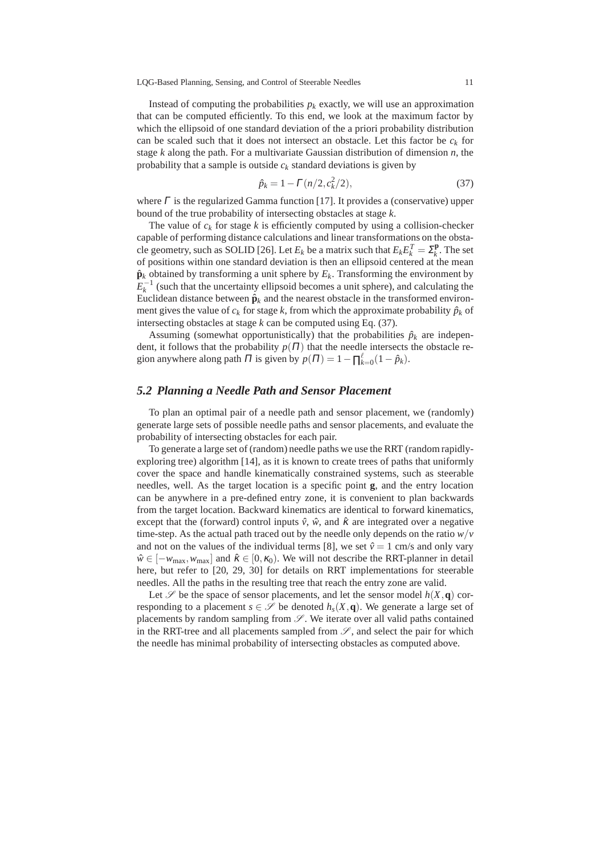Instead of computing the probabilities  $p_k$  exactly, we will use an approximation that can be computed efficiently. To this end, we look at the maximum factor by which the ellipsoid of one standard deviation of the a priori probability distribution can be scaled such that it does not intersect an obstacle. Let this factor be *c<sup>k</sup>* for stage *k* along the path. For a multivariate Gaussian distribution of dimension *n*, the probability that a sample is outside  $c_k$  standard deviations is given by

$$
\hat{p}_k = 1 - \Gamma(n/2, c_k^2/2),\tag{37}
$$

where  $\Gamma$  is the regularized Gamma function [17]. It provides a (conservative) upper bound of the true probability of intersecting obstacles at stage *k*.

The value of  $c_k$  for stage  $k$  is efficiently computed by using a collision-checker capable of performing distance calculations and linear transformations on the obstacle geometry, such as SOLID [26]. Let  $E_k$  be a matrix such that  $E_k E_k^T = \Sigma_k^{\mathbf{p}}$  $\frac{P}{k}$ . The set of positions within one standard deviation is then an ellipsoid centered at the mean  $\hat{\mathbf{p}}_k$  obtained by transforming a unit sphere by  $E_k$ . Transforming the environment by  $E_k^{-1}$  (such that the uncertainty ellipsoid becomes a unit sphere), and calculating the Euclidean distance between  $\hat{\mathbf{p}}_k$  and the nearest obstacle in the transformed environment gives the value of  $c_k$  for stage *k*, from which the approximate probability  $\hat{p}_k$  of intersecting obstacles at stage *k* can be computed using Eq. (37).

Assuming (somewhat opportunistically) that the probabilities  $\hat{p}_k$  are independent, it follows that the probability  $p(\Pi)$  that the needle intersects the obstacle region anywhere along path  $\Pi$  is given by  $p(\Pi) = 1 - \prod_{k=0}^{\ell} (1 - \hat{p}_k)$ .

# *5.2 Planning a Needle Path and Sensor Placement*

To plan an optimal pair of a needle path and sensor placement, we (randomly) generate large sets of possible needle paths and sensor placements, and evaluate the probability of intersecting obstacles for each pair.

To generate a large set of (random) needle paths we use the RRT (random rapidlyexploring tree) algorithm [14], as it is known to create trees of paths that uniformly cover the space and handle kinematically constrained systems, such as steerable needles, well. As the target location is a specific point **g**, and the entry location can be anywhere in a pre-defined entry zone, it is convenient to plan backwards from the target location. Backward kinematics are identical to forward kinematics, except that the (forward) control inputs  $\hat{v}$ ,  $\hat{w}$ , and  $\hat{\kappa}$  are integrated over a negative time-step. As the actual path traced out by the needle only depends on the ratio  $w/v$ and not on the values of the individual terms [8], we set  $\hat{v} = 1$  cm/s and only vary  $\hat{w} \in [-w_{\text{max}}, w_{\text{max}}]$  and  $\hat{\kappa} \in [0, \kappa_0)$ . We will not describe the RRT-planner in detail here, but refer to [20, 29, 30] for details on RRT implementations for steerable needles. All the paths in the resulting tree that reach the entry zone are valid.

Let  $\mathscr S$  be the space of sensor placements, and let the sensor model  $h(X, \mathbf{q})$  corresponding to a placement  $s \in \mathcal{S}$  be denoted  $h_s(X, \mathbf{q})$ . We generate a large set of placements by random sampling from  $\mathscr S$ . We iterate over all valid paths contained in the RRT-tree and all placements sampled from  $\mathscr S$ , and select the pair for which the needle has minimal probability of intersecting obstacles as computed above.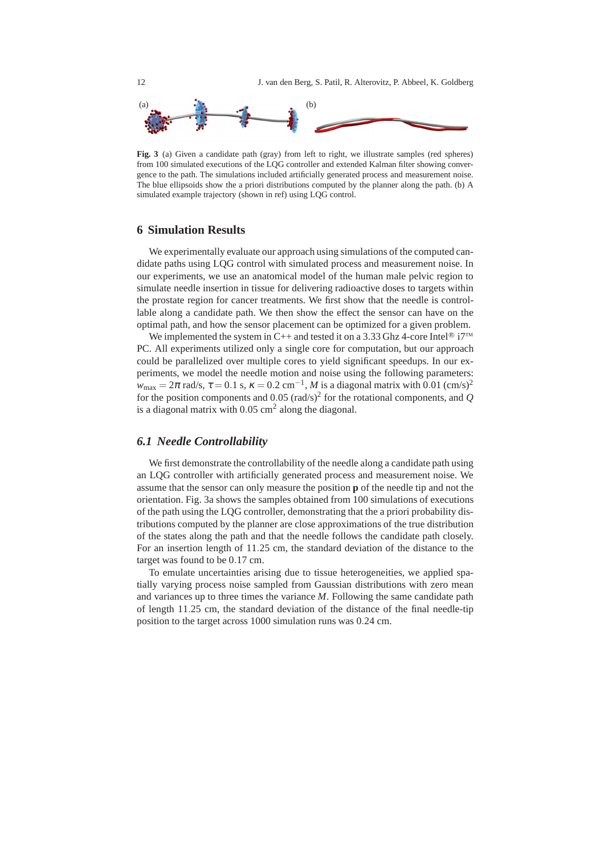

Fig. 3 (a) Given a candidate path (gray) from left to right, we illustrate samples (red spheres) from 100 simulated executions of the LQG controller and extended Kalman filter showing convergence to the path. The simulations included artificially generated process and measurement noise. The blue ellipsoids show the a priori distributions computed by the planner along the path. (b) A simulated example trajectory (shown in ref) using LQG control.

### **6 Simulation Results**

We experimentally evaluate our approach using simulations of the computed candidate paths using LQG control with simulated process and measurement noise. In our experiments, we use an anatomical model of the human male pelvic region to simulate needle insertion in tissue for delivering radioactive doses to targets within the prostate region for cancer treatments. We first show that the needle is controllable along a candidate path. We then show the effect the sensor can have on the optimal path, and how the sensor placement can be optimized for a given problem.

We implemented the system in C++ and tested it on a 3.33 Ghz 4-core Intel<sup>®</sup> i7<sup>™</sup> PC. All experiments utilized only a single core for computation, but our approach could be parallelized over multiple cores to yield significant speedups. In our experiments, we model the needle motion and noise using the following parameters:  $w_{\text{max}} = 2\pi$  rad/s,  $\tau = 0.1$  s,  $\kappa = 0.2$  cm<sup>-1</sup>, *M* is a diagonal matrix with 0.01 (cm/s)<sup>2</sup> for the position components and 0.05 (rad/s)<sup>2</sup> for the rotational components, and *Q* is a diagonal matrix with  $0.05 \text{ cm}^2$  along the diagonal.

### *6.1 Needle Controllability*

We first demonstrate the controllability of the needle along a candidate path using an LQG controller with artificially generated process and measurement noise. We assume that the sensor can only measure the position **p** of the needle tip and not the orientation. Fig. 3a shows the samples obtained from 100 simulations of executions of the path using the LQG controller, demonstrating that the a priori probability distributions computed by the planner are close approximations of the true distribution of the states along the path and that the needle follows the candidate path closely. For an insertion length of 11.25 cm, the standard deviation of the distance to the target was found to be 0.17 cm.

To emulate uncertainties arising due to tissue heterogeneities, we applied spatially varying process noise sampled from Gaussian distributions with zero mean and variances up to three times the variance *M*. Following the same candidate path of length 11.25 cm, the standard deviation of the distance of the final needle-tip position to the target across 1000 simulation runs was 0.24 cm.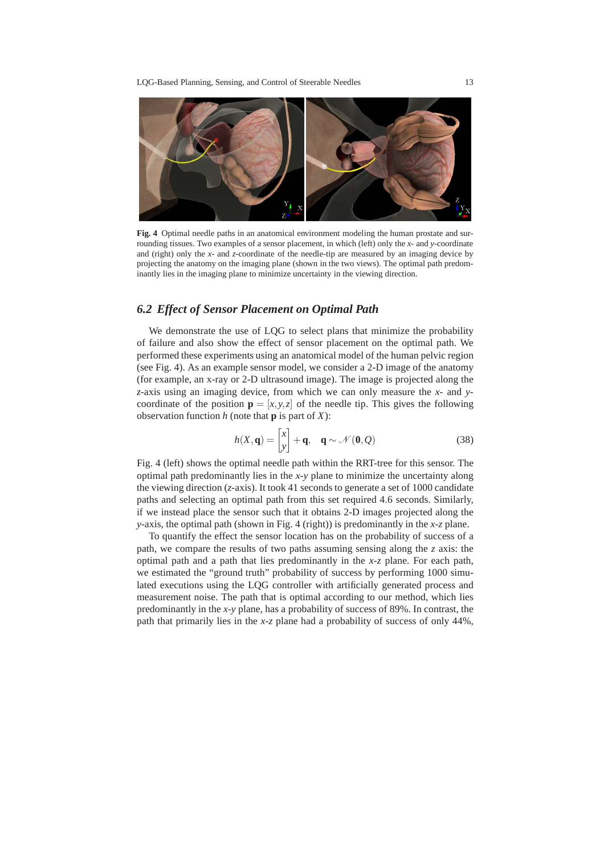

**Fig. 4** Optimal needle paths in an anatomical environment modeling the human prostate and surrounding tissues. Two examples of a sensor placement, in which (left) only the *x*- and *y*-coordinate and (right) only the *x*- and *z*-coordinate of the needle-tip are measured by an imaging device by projecting the anatomy on the imaging plane (shown in the two views). The optimal path predominantly lies in the imaging plane to minimize uncertainty in the viewing direction.

# *6.2 Effect of Sensor Placement on Optimal Path*

We demonstrate the use of LQG to select plans that minimize the probability of failure and also show the effect of sensor placement on the optimal path. We performed these experiments using an anatomical model of the human pelvic region (see Fig. 4). As an example sensor model, we consider a 2-D image of the anatomy (for example, an x-ray or 2-D ultrasound image). The image is projected along the *z*-axis using an imaging device, from which we can only measure the *x*- and *y*coordinate of the position  $\mathbf{p} = [x, y, z]$  of the needle tip. This gives the following observation function *h* (note that **p** is part of *X*):

$$
h(X, \mathbf{q}) = \begin{bmatrix} x \\ y \end{bmatrix} + \mathbf{q}, \quad \mathbf{q} \sim \mathcal{N}(\mathbf{0}, Q) \tag{38}
$$

Fig. 4 (left) shows the optimal needle path within the RRT-tree for this sensor. The optimal path predominantly lies in the *x*-*y* plane to minimize the uncertainty along the viewing direction (*z*-axis). It took 41 seconds to generate a set of 1000 candidate paths and selecting an optimal path from this set required 4.6 seconds. Similarly, if we instead place the sensor such that it obtains 2-D images projected along the *y*-axis, the optimal path (shown in Fig. 4 (right)) is predominantly in the *x*-*z* plane.

To quantify the effect the sensor location has on the probability of success of a path, we compare the results of two paths assuming sensing along the *z* axis: the optimal path and a path that lies predominantly in the *x*-*z* plane. For each path, we estimated the "ground truth" probability of success by performing 1000 simulated executions using the LQG controller with artificially generated process and measurement noise. The path that is optimal according to our method, which lies predominantly in the *x*-*y* plane, has a probability of success of 89%. In contrast, the path that primarily lies in the *x*-*z* plane had a probability of success of only 44%,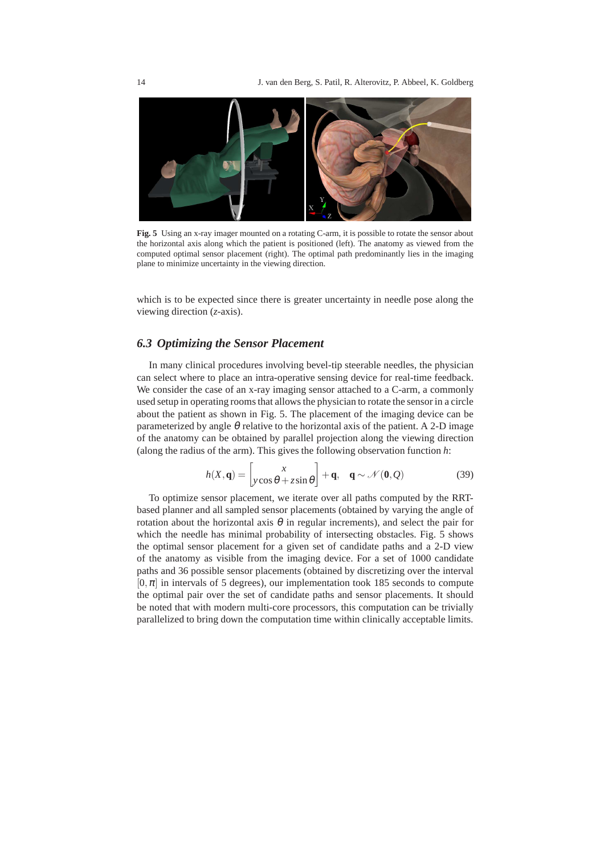

Fig. 5 Using an x-ray imager mounted on a rotating C-arm, it is possible to rotate the sensor about the horizontal axis along which the patient is positioned (left). The anatomy as viewed from the computed optimal sensor placement (right). The optimal path predominantly lies in the imaging plane to minimize uncertainty in the viewing direction.

which is to be expected since there is greater uncertainty in needle pose along the viewing direction (*z*-axis).

# *6.3 Optimizing the Sensor Placement*

In many clinical procedures involving bevel-tip steerable needles, the physician can select where to place an intra-operative sensing device for real-time feedback. We consider the case of an x-ray imaging sensor attached to a C-arm, a commonly used setup in operating rooms that allows the physician to rotate the sensor in a circle about the patient as shown in Fig. 5. The placement of the imaging device can be parameterized by angle  $\theta$  relative to the horizontal axis of the patient. A 2-D image of the anatomy can be obtained by parallel projection along the viewing direction (along the radius of the arm). This gives the following observation function *h*:

$$
h(X, \mathbf{q}) = \begin{bmatrix} x \\ y \cos \theta + z \sin \theta \end{bmatrix} + \mathbf{q}, \quad \mathbf{q} \sim \mathcal{N}(\mathbf{0}, \mathcal{Q})
$$
(39)

To optimize sensor placement, we iterate over all paths computed by the RRTbased planner and all sampled sensor placements (obtained by varying the angle of rotation about the horizontal axis  $\theta$  in regular increments), and select the pair for which the needle has minimal probability of intersecting obstacles. Fig. 5 shows the optimal sensor placement for a given set of candidate paths and a 2-D view of the anatomy as visible from the imaging device. For a set of 1000 candidate paths and 36 possible sensor placements (obtained by discretizing over the interval  $[0, \pi]$  in intervals of 5 degrees), our implementation took 185 seconds to compute the optimal pair over the set of candidate paths and sensor placements. It should be noted that with modern multi-core processors, this computation can be trivially parallelized to bring down the computation time within clinically acceptable limits.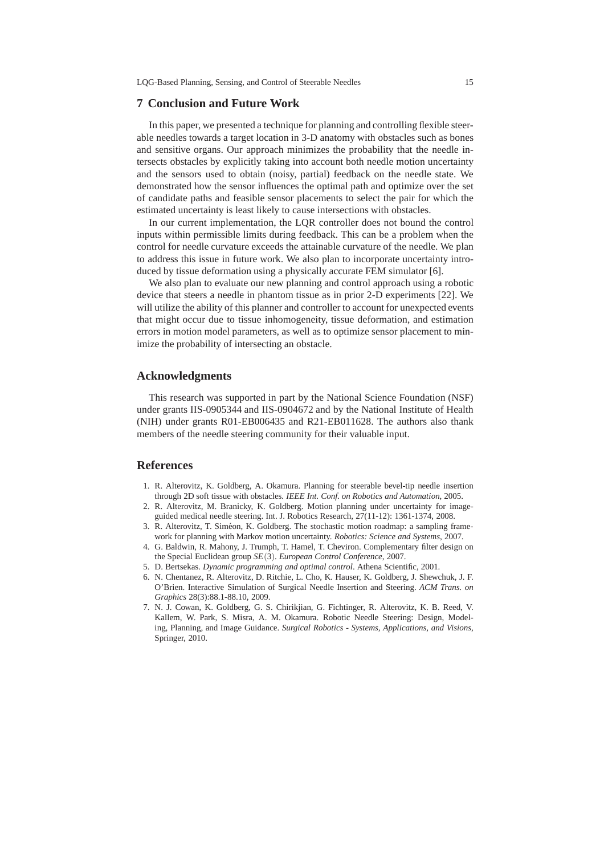#### **7 Conclusion and Future Work**

In this paper, we presented a technique for planning and controlling flexible steerable needles towards a target location in 3-D anatomy with obstacles such as bones and sensitive organs. Our approach minimizes the probability that the needle intersects obstacles by explicitly taking into account both needle motion uncertainty and the sensors used to obtain (noisy, partial) feedback on the needle state. We demonstrated how the sensor influences the optimal path and optimize over the set of candidate paths and feasible sensor placements to select the pair for which the estimated uncertainty is least likely to cause intersections with obstacles.

In our current implementation, the LQR controller does not bound the control inputs within permissible limits during feedback. This can be a problem when the control for needle curvature exceeds the attainable curvature of the needle. We plan to address this issue in future work. We also plan to incorporate uncertainty introduced by tissue deformation using a physically accurate FEM simulator [6].

We also plan to evaluate our new planning and control approach using a robotic device that steers a needle in phantom tissue as in prior 2-D experiments [22]. We will utilize the ability of this planner and controller to account for unexpected events that might occur due to tissue inhomogeneity, tissue deformation, and estimation errors in motion model parameters, as well as to optimize sensor placement to minimize the probability of intersecting an obstacle.

#### **Acknowledgments**

This research was supported in part by the National Science Foundation (NSF) under grants IIS-0905344 and IIS-0904672 and by the National Institute of Health (NIH) under grants R01-EB006435 and R21-EB011628. The authors also thank members of the needle steering community for their valuable input.

# **References**

- 1. R. Alterovitz, K. Goldberg, A. Okamura. Planning for steerable bevel-tip needle insertion through 2D soft tissue with obstacles. *IEEE Int. Conf. on Robotics and Automation*, 2005.
- 2. R. Alterovitz, M. Branicky, K. Goldberg. Motion planning under uncertainty for imageguided medical needle steering. Int. J. Robotics Research, 27(11-12): 1361-1374, 2008.
- 3. R. Alterovitz, T. Siméon, K. Goldberg. The stochastic motion roadmap: a sampling framework for planning with Markov motion uncertainty. *Robotics: Science and Systems*, 2007.
- 4. G. Baldwin, R. Mahony, J. Trumph, T. Hamel, T. Cheviron. Complementary filter design on the Special Euclidean group *SE*(3). *European Control Conference*, 2007.
- 5. D. Bertsekas. *Dynamic programming and optimal control*. Athena Scientific, 2001.
- 6. N. Chentanez, R. Alterovitz, D. Ritchie, L. Cho, K. Hauser, K. Goldberg, J. Shewchuk, J. F. O'Brien. Interactive Simulation of Surgical Needle Insertion and Steering. *ACM Trans. on Graphics* 28(3):88.1-88.10, 2009.
- 7. N. J. Cowan, K. Goldberg, G. S. Chirikjian, G. Fichtinger, R. Alterovitz, K. B. Reed, V. Kallem, W. Park, S. Misra, A. M. Okamura. Robotic Needle Steering: Design, Modeling, Planning, and Image Guidance. *Surgical Robotics - Systems, Applications, and Visions*, Springer, 2010.